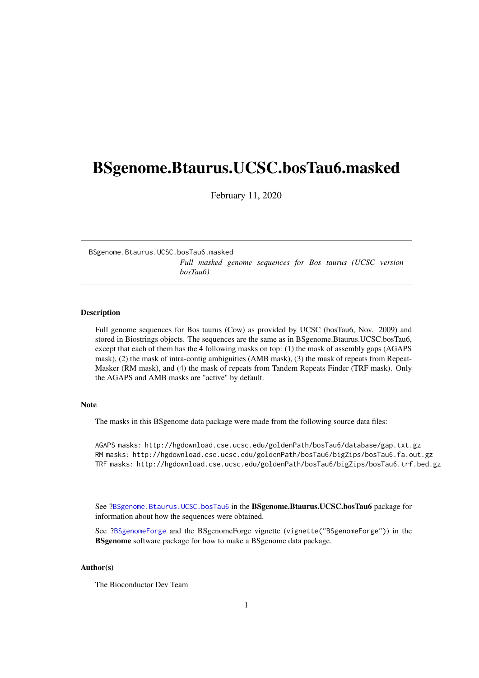# <span id="page-0-1"></span><span id="page-0-0"></span>BSgenome.Btaurus.UCSC.bosTau6.masked

February 11, 2020

BSgenome.Btaurus.UCSC.bosTau6.masked *Full masked genome sequences for Bos taurus (UCSC version bosTau6)*

## Description

Full genome sequences for Bos taurus (Cow) as provided by UCSC (bosTau6, Nov. 2009) and stored in Biostrings objects. The sequences are the same as in BSgenome.Btaurus.UCSC.bosTau6, except that each of them has the 4 following masks on top: (1) the mask of assembly gaps (AGAPS mask), (2) the mask of intra-contig ambiguities (AMB mask), (3) the mask of repeats from Repeat-Masker (RM mask), and (4) the mask of repeats from Tandem Repeats Finder (TRF mask). Only the AGAPS and AMB masks are "active" by default.

#### Note

The masks in this BSgenome data package were made from the following source data files:

AGAPS masks: http://hgdownload.cse.ucsc.edu/goldenPath/bosTau6/database/gap.txt.gz RM masks: http://hgdownload.cse.ucsc.edu/goldenPath/bosTau6/bigZips/bosTau6.fa.out.gz TRF masks: http://hgdownload.cse.ucsc.edu/goldenPath/bosTau6/bigZips/bosTau6.trf.bed.gz

See ?BSgenome.Btaurus.UCSC.bosTau6 in the BSgenome.Btaurus.UCSC.bosTau6 package for information about how the sequences were obtained.

See ?BSgenomeForge and the BSgenomeForge vignette (vignette("BSgenomeForge")) in the BSgenome software package for how to make a BSgenome data package.

## Author(s)

The Bioconductor Dev Team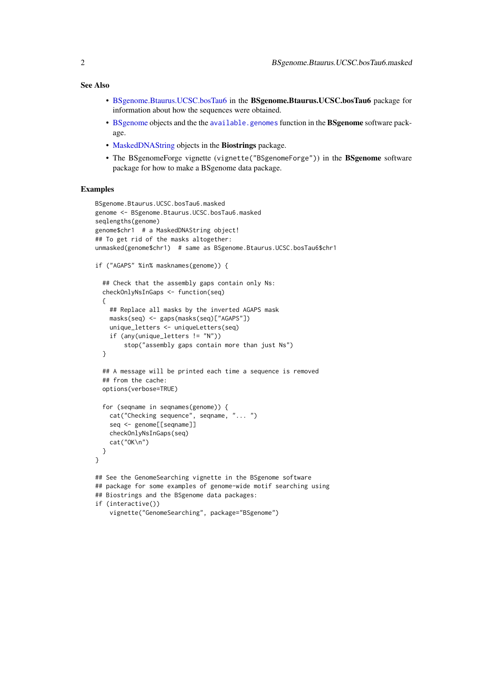<span id="page-1-0"></span>See Also

- [BSgenome.Btaurus.UCSC.bosTau6](#page-0-0) in the BSgenome.Btaurus.UCSC.bosTau6 package for information about how the sequences were obtained.
- [BSgenome](#page-0-0) objects and the the [available.genomes](#page-0-0) function in the BSgenome software package.
- [MaskedDNAString](#page-0-0) objects in the Biostrings package.
- The BSgenomeForge vignette (vignette("BSgenomeForge")) in the BSgenome software package for how to make a BSgenome data package.

#### Examples

```
BSgenome.Btaurus.UCSC.bosTau6.masked
genome <- BSgenome.Btaurus.UCSC.bosTau6.masked
seqlengths(genome)
genome$chr1 # a MaskedDNAString object!
## To get rid of the masks altogether:
unmasked(genome$chr1) # same as BSgenome.Btaurus.UCSC.bosTau6$chr1
if ("AGAPS" %in% masknames(genome)) {
  ## Check that the assembly gaps contain only Ns:
  checkOnlyNsInGaps <- function(seq)
  {
    ## Replace all masks by the inverted AGAPS mask
    masks(seq) <- gaps(masks(seq)["AGAPS"])
    unique_letters <- uniqueLetters(seq)
    if (any(unique_letters != "N"))
        stop("assembly gaps contain more than just Ns")
  }
  ## A message will be printed each time a sequence is removed
  ## from the cache:
  options(verbose=TRUE)
  for (seqname in seqnames(genome)) {
    cat("Checking sequence", seqname, "... ")
    seq <- genome[[seqname]]
    checkOnlyNsInGaps(seq)
    cat("OK\n")
  }
}
## See the GenomeSearching vignette in the BSgenome software
## package for some examples of genome-wide motif searching using
## Biostrings and the BSgenome data packages:
if (interactive())
    vignette("GenomeSearching", package="BSgenome")
```